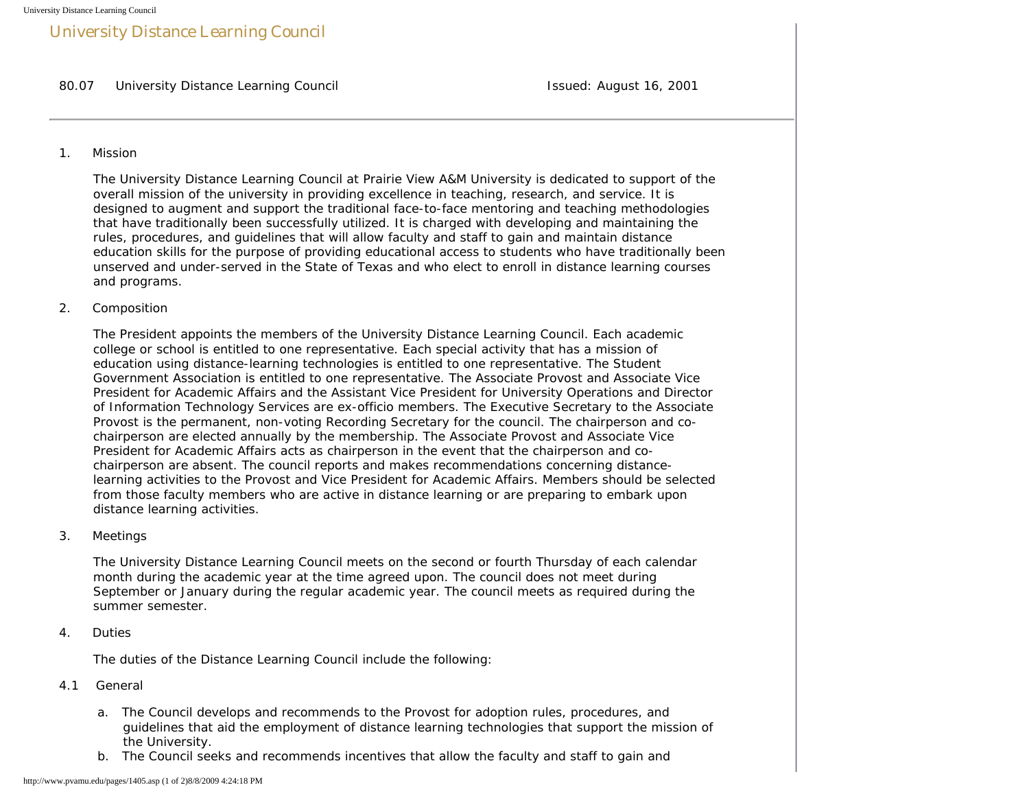# University Distance Learning Council

80.07 University Distance Learning Council **Issued: August 16, 2001** Issued: August 16, 2001

#### 1. Mission

 The University Distance Learning Council at Prairie View A&M University is dedicated to support of the overall mission of the university in providing excellence in teaching, research, and service. It is designed to augment and support the traditional face-to-face mentoring and teaching methodologies that have traditionally been successfully utilized. It is charged with developing and maintaining the rules, procedures, and guidelines that will allow faculty and staff to gain and maintain distance education skills for the purpose of providing educational access to students who have traditionally been unserved and under-served in the State of Texas and who elect to enroll in distance learning courses and programs.

2. Composition

 The President appoints the members of the University Distance Learning Council. Each academic college or school is entitled to one representative. Each special activity that has a mission of education using distance-learning technologies is entitled to one representative. The Student Government Association is entitled to one representative. The Associate Provost and Associate Vice President for Academic Affairs and the Assistant Vice President for University Operations and Director of Information Technology Services are ex-officio members. The Executive Secretary to the Associate Provost is the permanent, non-voting Recording Secretary for the council. The chairperson and co chairperson are elected annually by the membership. The Associate Provost and Associate Vice President for Academic Affairs acts as chairperson in the event that the chairperson and co chairperson are absent. The council reports and makes recommendations concerning distance learning activities to the Provost and Vice President for Academic Affairs. Members should be selected from those faculty members who are active in distance learning or are preparing to embark upon distance learning activities.

3. Meetings

 The University Distance Learning Council meets on the second or fourth Thursday of each calendar month during the academic year at the time agreed upon. The council does not meet during September or January during the regular academic year. The council meets as required during the summer semester.

4. Duties

The duties of the Distance Learning Council include the following:

#### 4.1 General

- a. The Council develops and recommends to the Provost for adoption rules, procedures, and guidelines that aid the employment of distance learning technologies that support the mission of the University.
- b. The Council seeks and recommends incentives that allow the faculty and staff to gain and